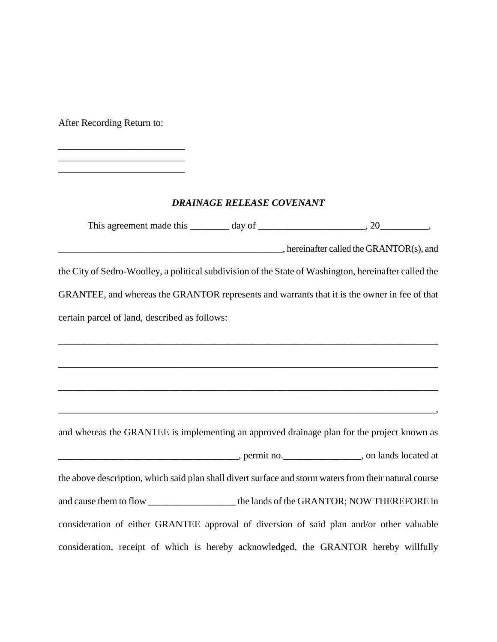After Recording Return to:

 $\overline{\phantom{a}}$  , where  $\overline{\phantom{a}}$  , where  $\overline{\phantom{a}}$  , where  $\overline{\phantom{a}}$ 

 $\overline{\phantom{a}}$  , where  $\overline{\phantom{a}}$ 

## *DRAINAGE RELEASE COVENANT*

| This agreement made this $\_\_\_\_$ day of $\_\_\_\_\_\_\_$ , 20 $\_\_\_\_\_$ ,                                                                                                                                                |  |                                                         |
|--------------------------------------------------------------------------------------------------------------------------------------------------------------------------------------------------------------------------------|--|---------------------------------------------------------|
|                                                                                                                                                                                                                                |  | $\blacksquare$ , hereinafter called the GRANTOR(s), and |
| the City of Sedro-Woolley, a political subdivision of the State of Washington, hereinafter called the                                                                                                                          |  |                                                         |
| GRANTEE, and whereas the GRANTOR represents and warrants that it is the owner in fee of that                                                                                                                                   |  |                                                         |
| certain parcel of land, described as follows:                                                                                                                                                                                  |  |                                                         |
|                                                                                                                                                                                                                                |  |                                                         |
|                                                                                                                                                                                                                                |  |                                                         |
|                                                                                                                                                                                                                                |  |                                                         |
|                                                                                                                                                                                                                                |  |                                                         |
| and whereas the GRANTEE is implementing an approved drainage plan for the project known as                                                                                                                                     |  |                                                         |
| example and the permit no. The contract of the set of the set of the set of the set of the set of the set of the set of the set of the set of the set of the set of the set of the set of the set of the set of the set of the |  |                                                         |
| the above description, which said plan shall divert surface and storm waters from their natural course                                                                                                                         |  |                                                         |
| and cause them to flow _________________________the lands of the GRANTOR; NOW THEREFORE in                                                                                                                                     |  |                                                         |
| consideration of either GRANTEE approval of diversion of said plan and/or other valuable                                                                                                                                       |  |                                                         |
| consideration, receipt of which is hereby acknowledged, the GRANTOR hereby willfully                                                                                                                                           |  |                                                         |